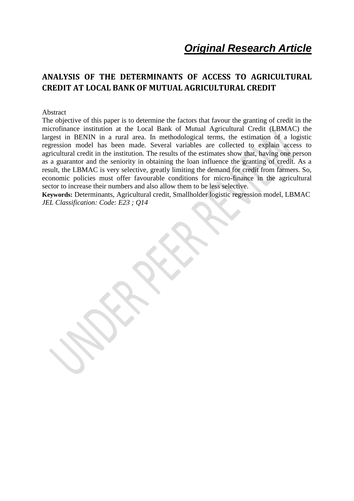*Original Research Article*

# **ANALYSIS OF THE DETERMINANTS OF ACCESS TO AGRICULTURAL CREDIT AT LOCAL BANK OF MUTUAL AGRICULTURAL CREDIT**

#### Abstract

The objective of this paper is to determine the factors that favour the granting of credit in the microfinance institution at the Local Bank of Mutual Agricultural Credit (LBMAC) the largest in BENIN in a rural area. In methodological terms, the estimation of a logistic regression model has been made. Several variables are collected to explain access to agricultural credit in the institution. The results of the estimates show that, having one person as a guarantor and the seniority in obtaining the loan influence the granting of credit. As a result, the LBMAC is very selective, greatly limiting the demand for credit from farmers. So, economic policies must offer favourable conditions for micro-finance in the agricultural sector to increase their numbers and also allow them to be less selective.

**Keywords:** Determinants, Agricultural credit, Smallholder logistic regression model, LBMAC *JEL Classification: Code: E23 ; Q14*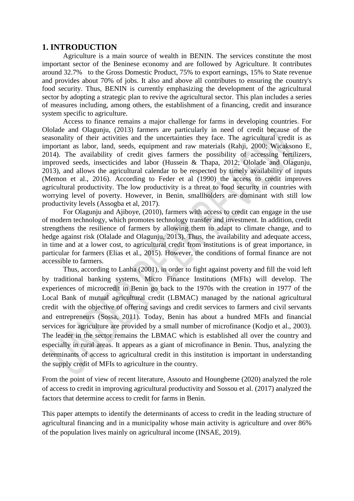## **1. INTRODUCTION**

Agriculture is a main source of wealth in BENIN. The services constitute the most important sector of the Beninese economy and are followed by Agriculture. It contributes around 32.7% to the Gross Domestic Product, 75% to export earnings, 15% to State revenue and provides about 70% of jobs. It also and above all contributes to ensuring the country's food security. Thus, BENIN is currently emphasizing the development of the agricultural sector by adopting a strategic plan to revive the agricultural sector. This plan includes a series of measures including, among others, the establishment of a financing, credit and insurance system specific to agriculture.

Access to finance remains a major challenge for farms in developing countries. For Ololade and Olagunju, (2013) farmers are particularly in need of credit because of the seasonality of their activities and the uncertainties they face. The agricultural credit is as important as labor, land, seeds, equipment and raw materials (Rahji, 2000; Wicaksono E, 2014). The availability of credit gives farmers the possibility of accessing fertilizers, improved seeds, insecticides and labor (Hussein & Thapa, 2012; Ololade and Olagunju, 2013), and allows the agricultural calendar to be respected by timely availability of inputs (Memon et al., 2016). According to Feder et al (1990) the access to credit improves agricultural productivity. The low productivity is a threat to food security in countries with worrying level of poverty. However, in Benin, smallholders are dominant with still low productivity levels (Assogba et al, 2017).

For Olagunju and Ajiboye, (2010), farmers with access to credit can engage in the use of modern technology, which promotes technology transfer and investment. In addition, credit strengthens the resilience of farmers by allowing them to adapt to climate change, and to hedge against risk (Olalade and Olagunju, 2013). Thus, the availability and adequate access, in time and at a lower cost, to agricultural credit from institutions is of great importance, in particular for farmers (Elias et al., 2015). However, the conditions of formal finance are not accessible to farmers.

Thus, according to Lanha (2001), in order to fight against poverty and fill the void left by traditional banking systems, Micro Finance Institutions (MFIs) will develop. The experiences of microcredit in Benin go back to the 1970s with the creation in 1977 of the Local Bank of mutual agricultural credit (LBMAC) managed by the national agricultural credit with the objective of offering savings and credit services to farmers and civil servants and entrepreneurs (Sossa, 2011). Today, Benin has about a hundred MFIs and financial services for agriculture are provided by a small number of microfinance (Kodjo et al., 2003). The leader in the sector remains the LBMAC which is established all over the country and especially in rural areas. It appears as a giant of microfinance in Benin. Thus, analyzing the determinants of access to agricultural credit in this institution is important in understanding the supply credit of MFIs to agriculture in the country.

From the point of view of recent literature, Assouto and Houngbeme (2020) analyzed the role of access to credit in improving agricultural productivity and Sossou et al. (2017) analyzed the factors that determine access to credit for farms in Benin.

This paper attempts to identify the determinants of access to credit in the leading structure of agricultural financing and in a municipality whose main activity is agriculture and over 86% of the population lives mainly on agricultural income (INSAE, 2019).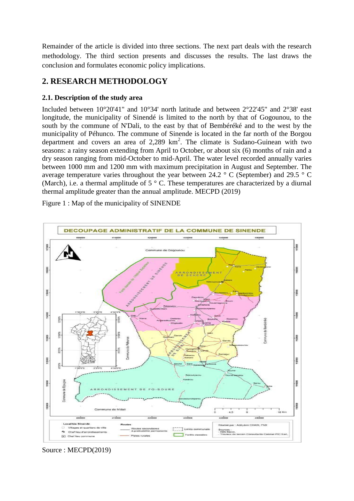Remainder of the article is divided into three sections. The next part deals with the research methodology. The third section presents and discusses the results. The last draws the conclusion and formulates economic policy implications.

# **2. RESEARCH METHODOLOGY**

## **2.1. Description of the study area**

Included between 10°20'41" and 10°34' north latitude and between 2°22'45" and 2°38' east longitude, the municipality of Sinendé is limited to the north by that of Gogounou, to the south by the commune of N'Dali, to the east by that of Bembéréké and to the west by the municipality of Péhunco. The commune of Sinende is located in the far north of the Borgou department and covers an area of  $2,289$  km<sup>2</sup>. The climate is Sudano-Guinean with two seasons: a rainy season extending from April to October, or about six (6) months of rain and a dry season ranging from mid-October to mid-April. The water level recorded annually varies between 1000 mm and 1200 mm with maximum precipitation in August and September. The average temperature varies throughout the year between 24.2 ° C (September) and 29.5 ° C (March), i.e. a thermal amplitude of  $5 \degree$  C. These temperatures are characterized by a diurnal thermal amplitude greater than the annual amplitude. MECPD (2019)

Figure 1 : Map of the municipality of SINENDE



Source : MECPD(2019)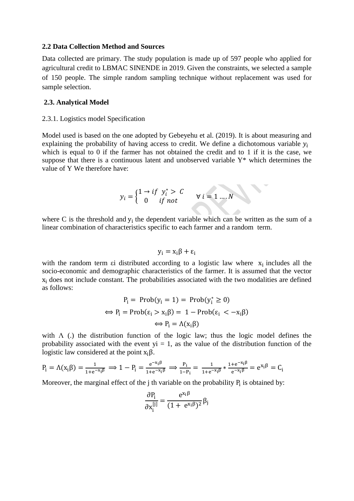#### **2.2 Data Collection Method and Sources**

Data collected are primary. The study population is made up of 597 people who applied for agricultural credit to LBMAC SINENDE in 2019. Given the constraints, we selected a sample of 150 people. The simple random sampling technique without replacement was used for sample selection.

#### **2.3. Analytical Model**

#### 2.3.1. Logistics model Specification

Model used is based on the one adopted by Gebeyehu et al. (2019). It is about measuring and explaining the probability of having access to credit. We define a dichotomous variable  $y_i$ which is equal to 0 if the farmer has not obtained the credit and to 1 if it is the case, we suppose that there is a continuous latent and unobserved variable Y\* which determines the value of Y We therefore have:

$$
y_i = \begin{cases} 1 \to if \ y_i^* > C \\ 0 \quad if \ not \end{cases} \forall i = 1 \dots N
$$

where C is the threshold and  $y_i$  the dependent variable which can be written as the sum of a linear combination of characteristics specific to each farmer and a random term.

$$
y_i = x_i \beta + \epsilon_i
$$

with the random term  $\epsilon i$  distributed according to a logistic law where  $x_i$  includes all the socio-economic and demographic characteristics of the farmer. It is assumed that the vector  $x_i$  does not include constant. The probabilities associated with the two modalities are defined as follows:

$$
P_i = Prob(y_i = 1) = Prob(y_i^* \ge 0)
$$
  
\n
$$
\Leftrightarrow P_i = Prob(\epsilon_i > x_i \beta) = 1 - Prob(\epsilon_i < -x_i \beta)
$$
  
\n
$$
\Leftrightarrow P_i = \Lambda(x_i \beta)
$$

with  $\Lambda$  (.) the distribution function of the logic law; thus the logic model defines the probability associated with the event  $yi = 1$ , as the value of the distribution function of the logistic law considered at the point  $x_i\beta$ .

$$
P_i = \Lambda(x_i \beta) = \frac{1}{1 + e^{-x_i \beta}} \implies 1 - P_i = \frac{e^{-x_i \beta}}{1 + e^{-x_i \beta}} \implies \frac{P_i}{1 - P_i} = \frac{1}{1 + e^{-x_i \beta}} * \frac{1 + e^{-x_i \beta}}{e^{-x_i \beta}} = e^{x_i \beta} = C_i
$$

Moreover, the marginal effect of the  $j$  th variable on the probability  $P_i$  is obtained by:

$$
\frac{\partial P_i}{\partial x_i^{[j]}} = \frac{e^{x_i \beta}}{(1 + e^{x_i \beta})^2} \beta_j
$$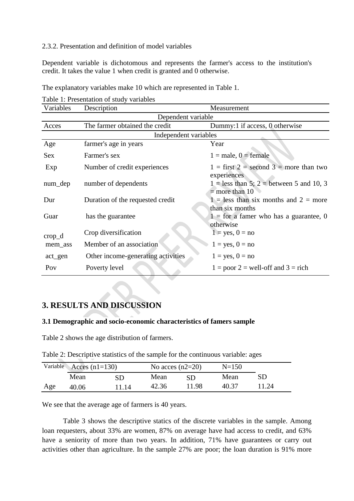## 2.3.2. Presentation and definition of model variables

Dependent variable is dichotomous and represents the farmer's access to the institution's credit. It takes the value 1 when credit is granted and 0 otherwise.

| Variables        | Description                        | Measurement                                                    |  |  |  |
|------------------|------------------------------------|----------------------------------------------------------------|--|--|--|
|                  | Dependent variable                 |                                                                |  |  |  |
| Acces            | The farmer obtained the credit     | Dummy:1 if access, 0 otherwise                                 |  |  |  |
|                  | Independent variables              |                                                                |  |  |  |
| Age              | farmer's age in years              | Year                                                           |  |  |  |
| <b>Sex</b>       | Farmer's sex                       | $1 = male, 0 = female$                                         |  |  |  |
| Exp              | Number of credit experiences       | $1 =$ first $2 =$ second $3 =$ more than two<br>experiences    |  |  |  |
| num_dep          | number of dependents               | $1 =$ less than 5; 2 = between 5 and 10, 3<br>$=$ more than 10 |  |  |  |
| Dur              | Duration of the requested credit   | $1 =$ less than six months and $2 =$ more<br>than six months   |  |  |  |
| Guar             | has the guarantee                  | $1 =$ for a famer who has a guarantee, 0<br>otherwise          |  |  |  |
| $\text{crop\_d}$ | Crop diversification               | $1 = yes, 0 = no$                                              |  |  |  |
| mem_ass          | Member of an association           | $1 = yes, 0 = no$                                              |  |  |  |
| act_gen          | Other income-generating activities | $1 = yes, 0 = no$                                              |  |  |  |
| Pov              | Poverty level                      | $1 = poor 2 = well-off and 3 = rich$                           |  |  |  |

The explanatory variables make 10 which are represented in Table 1.

### Table 1: Presentation of study variables

## **3. RESULTS AND DISCUSSION**

## **3.1 Demographic and socio-economic characteristics of famers sample**

Table 2 shows the age distribution of farmers.

Table 2: Descriptive statistics of the sample for the continuous variable: ages

| Variable |       | Acces $(n1=130)$ |       | No acces $(n2=20)$ |       |       |
|----------|-------|------------------|-------|--------------------|-------|-------|
|          | Mean  | SD               | Mean  | SD                 | Mean  |       |
| Age      | 40.06 | 11.14            | 42.36 | 11.98              | 40.37 | 11.24 |

We see that the average age of farmers is 40 years.

Table 3 shows the descriptive statics of the discrete variables in the sample. Among loan requesters, about 33% are women, 87% on average have had access to credit, and 63% have a seniority of more than two years. In addition, 71% have guarantees or carry out activities other than agriculture. In the sample 27% are poor; the loan duration is 91% more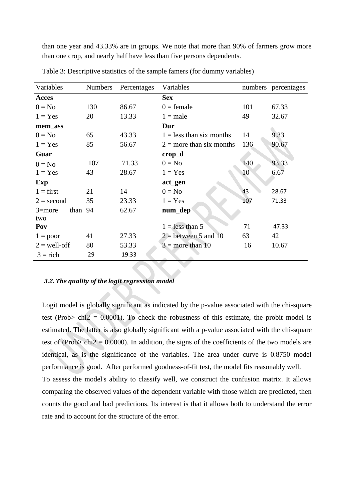than one year and 43.33% are in groups. We note that more than 90% of farmers grow more than one crop, and nearly half have less than five persons dependents.

| Variables             | <b>Numbers</b> | Percentages | Variables                  |     | numbers percentages |
|-----------------------|----------------|-------------|----------------------------|-----|---------------------|
| Acces                 |                |             | <b>Sex</b>                 |     |                     |
| $0 = No$              | 130            | 86.67       | $0 =$ female               | 101 | 67.33               |
| $1 = Yes$             | 20             | 13.33       | $1 = male$                 | 49  | 32.67               |
| mem_ass               |                |             | Dur                        |     |                     |
| $0 = No$              | 65             | 43.33       | $1 =$ less than six months | 14  | 9.33                |
| $1 = Yes$             | 85             | 56.67       | $2 =$ more than six months | 136 | 90.67               |
| Guar                  |                |             | $\mathbf{crop\_d}$         |     |                     |
| $0 = No$              | 107            | 71.33       | $0 = No$                   | 140 | 93.33               |
| $1 = Yes$             | 43             | 28.67       | $1 = Yes$                  | 10  | 6.67                |
| Exp                   |                |             | act_gen                    |     |                     |
| $1 = first$           | 21             | 14          | $0 = No$                   | 43  | 28.67               |
| $2 = second$          | 35             | 23.33       | $1 = Yes$                  | 107 | 71.33               |
| than 94<br>$3 = more$ |                | 62.67       | num_dep                    |     |                     |
| two                   |                |             |                            |     |                     |
| Pov                   |                |             | $1 =$ less than 5          | 71  | 47.33               |
| $1 = poor$            | 41             | 27.33       | $2 =$ between 5 and 10     | 63  | 42                  |
| $2 =$ well-off        | 80             | 53.33       | $3 =$ more than 10         | 16  | 10.67               |
| $3 =$ rich            | 29             | 19.33       |                            |     |                     |

Table 3: Descriptive statistics of the sample famers (for dummy variables)

### *3.2. The quality of the logit regression model*

Logit model is globally significant as indicated by the p-value associated with the chi-square test (Prob> chi2 =  $0.0001$ ). To check the robustness of this estimate, the probit model is estimated. The latter is also globally significant with a p-value associated with the chi-square test of (Prob> chi2 = 0.0000). In addition, the signs of the coefficients of the two models are identical, as is the significance of the variables. The area under curve is 0.8750 model performance is good. After performed goodness-of-fit test, the model fits reasonably well. To assess the model's ability to classify well, we construct the confusion matrix. It allows comparing the observed values of the dependent variable with those which are predicted, then counts the good and bad predictions. Its interest is that it allows both to understand the error rate and to account for the structure of the error.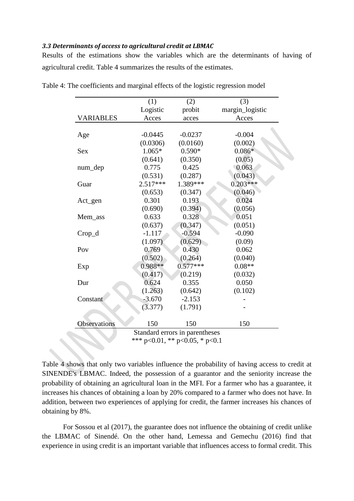### *3.3 Determinants of access to agricultural credit at LBMAC*

Results of the estimations show the variables which are the determinants of having of agricultural credit. Table 4 summarizes the results of the estimates.

|                  | (1)        | (2)                            | (3)             |
|------------------|------------|--------------------------------|-----------------|
|                  | Logistic   | probit                         | margin_logistic |
| <b>VARIABLES</b> | Acces      | acces                          | Acces           |
|                  |            |                                |                 |
| Age              | $-0.0445$  | $-0.0237$                      | $-0.004$        |
|                  | (0.0306)   | (0.0160)                       | (0.002)         |
| <b>Sex</b>       | $1.065*$   | $0.590*$                       | $0.086*$        |
|                  | (0.641)    | (0.350)                        | (0.05)          |
| num_dep          | 0.775      | 0.425                          | 0.063           |
|                  | (0.531)    | (0.287)                        | (0.043)         |
| Guar             | $2.517***$ | 1.389***                       | $0.203***$      |
|                  | (0.653)    | (0.347)                        | (0.046)         |
| Act_gen          | 0.301      | 0.193                          | 0.024           |
|                  | (0.690)    | (0.394)                        | (0.056)         |
| Mem_ass          | 0.633      | 0.328                          | 0.051           |
|                  | (0.637)    | (0.347)                        | (0.051)         |
| $Crop_d$         | $-1.117$   | $-0.594$                       | $-0.090$        |
|                  | (1.097)    | (0.629)                        | (0.09)          |
| Pov              | 0.769      | 0.430                          | 0.062           |
|                  | (0.502)    | (0.264)                        | (0.040)         |
| Exp              | 0.988**    | $0.577***$                     | $0.08**$        |
|                  | (0.417)    | (0.219)                        | (0.032)         |
| Dur              | 0.624      | 0.355                          | 0.050           |
|                  | (1.263)    | (0.642)                        | (0.102)         |
| Constant         | $-3.670$   | $-2.153$                       |                 |
|                  | (3.377)    | (1.791)                        |                 |
| Observations     | 150        | 150                            | 150             |
|                  |            | Standard errors in parentheses |                 |
|                  |            | *** p<0.01, ** p<0.05, * p<0.1 |                 |

Table 4: The coefficients and marginal effects of the logistic regression model

Table 4 shows that only two variables influence the probability of having access to credit at SINENDE's LBMAC. Indeed, the possession of a guarantor and the seniority increase the probability of obtaining an agricultural loan in the MFI. For a farmer who has a guarantee, it increases his chances of obtaining a loan by 20% compared to a farmer who does not have. In addition, between two experiences of applying for credit, the farmer increases his chances of obtaining by 8%.

For Sossou et al (2017), the guarantee does not influence the obtaining of credit unlike the LBMAC of Sinendé. On the other hand, Lemessa and Gemechu (2016) find that experience in using credit is an important variable that influences access to formal credit. This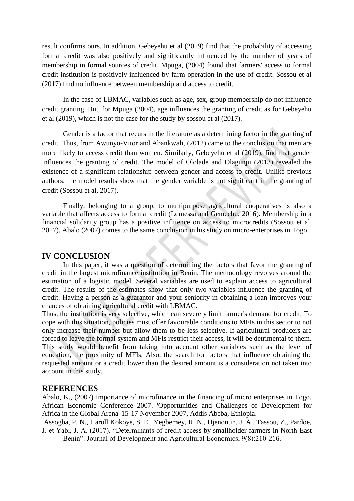result confirms ours. In addition, Gebeyehu et al (2019) find that the probability of accessing formal credit was also positively and significantly influenced by the number of years of membership in formal sources of credit. Mpuga, (2004) found that farmers' access to formal credit institution is positively influenced by farm operation in the use of credit. Sossou et al (2017) find no influence between membership and access to credit.

In the case of LBMAC, variables such as age, sex, group membership do not influence credit granting. But, for Mpuga (2004), age influences the granting of credit as for Gebeyehu et al (2019), which is not the case for the study by sossou et al (2017).

Gender is a factor that recurs in the literature as a determining factor in the granting of credit. Thus, from Awunyo-Vitor and Abankwah, (2012) came to the conclusion that men are more likely to access credit than women. Similarly, Gebeyehu et al (2019), find that gender influences the granting of credit. The model of Ololade and Olagunju (2013) revealed the existence of a significant relationship between gender and access to credit. Unlike previous authors, the model results show that the gender variable is not significant in the granting of credit (Sossou et al, 2017).

Finally, belonging to a group, to multipurpose agricultural cooperatives is also a variable that affects access to formal credit (Lemessa and Gemechu; 2016). Membership in a financial solidarity group has a positive influence on access to microcredits (Sossou et al, 2017). Abalo (2007) comes to the same conclusion in his study on micro-enterprises in Togo.

## **IV CONCLUSION**

In this paper, it was a question of determining the factors that favor the granting of credit in the largest microfinance institution in Benin. The methodology revolves around the estimation of a logistic model. Several variables are used to explain access to agricultural credit. The results of the estimates show that only two variables influence the granting of credit. Having a person as a guarantor and your seniority in obtaining a loan improves your chances of obtaining agricultural credit with LBMAC.

Thus, the institution is very selective, which can severely limit farmer's demand for credit. To cope with this situation, policies must offer favourable conditions to MFIs in this sector to not only increase their number but allow them to be less selective. If agricultural producers are forced to leave the formal system and MFIs restrict their access, it will be detrimental to them. This study would benefit from taking into account other variables such as the level of education, the proximity of MFIs. Also, the search for factors that influence obtaining the requested amount or a credit lower than the desired amount is a consideration not taken into account in this study.

### **REFERENCES**

Abalo, K., (2007) Importance of microfinance in the financing of micro enterprises in Togo. African Economic Conference 2007. 'Opportunities and Challenges of Development for Africa in the Global Arena' 15-17 November 2007, Addis Abeba, Ethiopia.

Assogba, P. N., Haroll Kokoye, S. E., Yegbemey, R. N., Djenontin, J. A., Tassou, Z., Pardoe, J. et Yabi, J. A. (2017). "Determinants of credit access by smallholder farmers in North-East

Benin". Journal of Development and Agricultural Economics, 9(8):210-216.